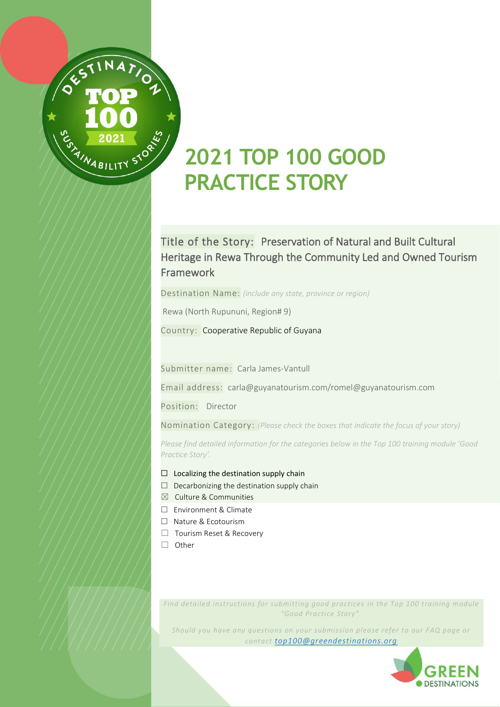

# **2021 TOP 100 GOOD PRACTICE STORY**

### Title of the Story: Preservation of Natural and Built Cultural Heritage in Rewa Through the Community Led and Owned Tourism Framework

Destination Name: *(include any state, province or region)*

Rewa (North Rupununi, Region# 9)

Country: Cooperative Republic of Guyana

Submitter name: Carla James-Vantull

Email address: carla@guyanatourism.com/romel@guyanatourism.com

Position: Director

Nomination Category: *(Please check the boxes that indicate the focus of your story)*

*Please find detailed information for the categories below in the Top 100 training module 'Good Practice Story'.*

- $\Box$  Localizing the destination supply chain
- $\Box$  Decarbonizing the destination supply chain
- $\boxtimes$  Culture & Communities
- ☐ Environment & Climate
- ☐ Nature & Ecotourism
- ☐ Tourism Reset & Recovery
- ☐ Other

*Find detailed instructions for submitting good practices in the Top 100 training module "Good Practice Story".*

*Should you have any questions on your submission please refer to our FAQ page or contact [top100@greendestinations.org](mailto:top100@greendestinations.org?subject=Top%20100%20-%20Questions)*

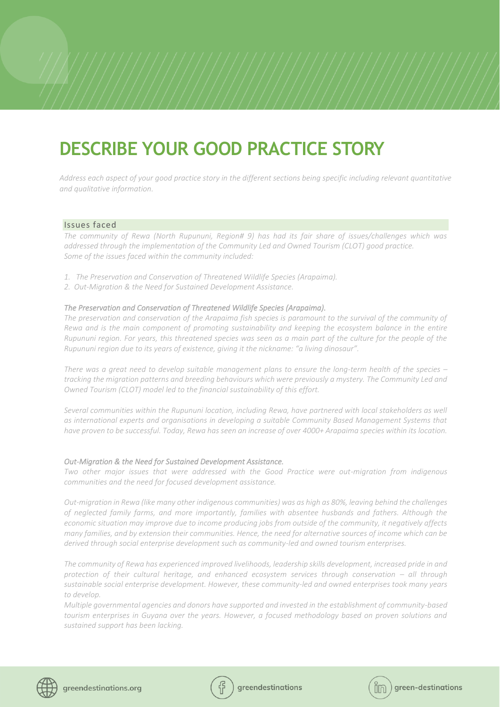## **DESCRIBE YOUR GOOD PRACTICE STORY**

*Address each aspect of your good practice story in the different sections being specific including relevant quantitative and qualitative information.*

#### Issues faced

*The community of Rewa (North Rupununi, Region# 9) has had its fair share of issues/challenges which was addressed through the implementation of the Community Led and Owned Tourism (CLOT) good practice. Some of the issues faced within the community included:*

- *1. The Preservation and Conservation of Threatened Wildlife Species (Arapaima).*
- *2. Out-Migration & the Need for Sustained Development Assistance.*

#### *The Preservation and Conservation of Threatened Wildlife Species (Arapaima).*

The preservation and conservation of the Arapaima fish species is paramount to the survival of the community of *Rewa and is the main component of promoting sustainability and keeping the ecosystem balance in the entire Rupununi region. For years, this threatened species was seen as a main part of the culture for the people of the Rupununi region due to its years of existence, giving it the nickname: "a living dinosaur".*

*There was a great need to develop suitable management plans to ensure the long-term health of the species – tracking the migration patterns and breeding behaviours which were previously a mystery. The Community Led and Owned Tourism (CLOT) model led to the financial sustainability of this effort.*

*Several communities within the Rupununi location, including Rewa, have partnered with local stakeholders as well as international experts and organisations in developing a suitable Community Based Management Systems that have proven to be successful. Today, Rewa has seen an increase of over 4000+ Arapaima species within its location.*

#### *Out-Migration & the Need for Sustained Development Assistance.*

*Two other major issues that were addressed with the Good Practice were out-migration from indigenous communities and the need for focused development assistance.*

*Out-migration in Rewa (like many other indigenous communities) was as high as 80%, leaving behind the challenges of neglected family farms, and more importantly, families with absentee husbands and fathers. Although the economic situation may improve due to income producing jobs from outside of the community, it negatively affects many families, and by extension their communities. Hence, the need for alternative sources of income which can be derived through social enterprise development such as community-led and owned tourism enterprises.*

*The community of Rewa has experienced improved livelihoods, leadership skills development, increased pride in and protection of their cultural heritage, and enhanced ecosystem services through conservation – all through sustainable social enterprise development. However, these community-led and owned enterprises took many years to develop.*

*Multiple governmental agencies and donors have supported and invested in the establishment of community-based tourism enterprises in Guyana over the years. However, a focused methodology based on proven solutions and sustained support has been lacking.* 





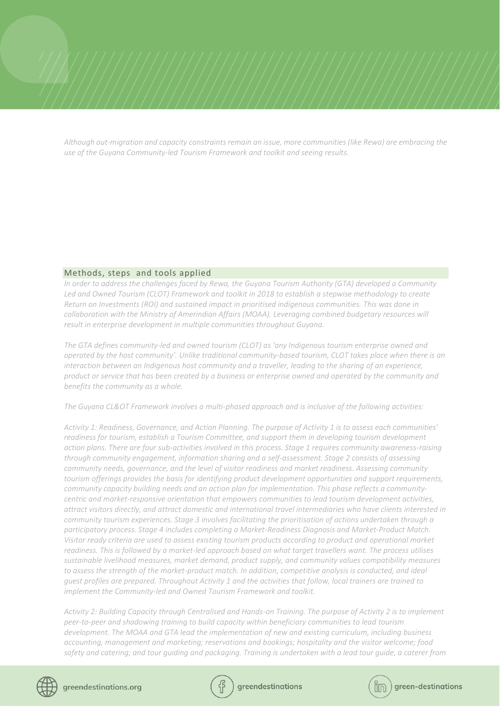*Although out-migration and capacity constraints remain an issue, more communities (like Rewa) are embracing the use of the Guyana Community-led Tourism Framework and toolkit and seeing results.*

#### Methods, steps and tools applied

*In order to address the challenges faced by Rewa, the Guyana Tourism Authority (GTA) developed a Community Led and Owned Tourism (CLOT) Framework and toolkit in 2018 to establish a stepwise methodology to create Return on Investments (ROI) and sustained impact in prioritised indigenous communities. This was done in collaboration with the Ministry of Amerindian Affairs (MOAA). Leveraging combined budgetary resources will result in enterprise development in multiple communities throughout Guyana.* 

*The GTA defines community-led and owned tourism (CLOT) as 'any Indigenous tourism enterprise owned and operated by the host community'. Unlike traditional community-based tourism, CLOT takes place when there is an interaction between an Indigenous host community and a traveller, leading to the sharing of an experience, product or service that has been created by a business or enterprise owned and operated by the community and benefits the community as a whole.*

*The Guyana CL&OT Framework involves a multi-phased approach and is inclusive of the following activities:*

*Activity 1: Readiness, Governance, and Action Planning. The purpose of Activity 1 is to assess each communities' readiness for tourism, establish a Tourism Committee, and support them in developing tourism development action plans. There are four sub-activities involved in this process. Stage 1 requires community awareness-raising through community engagement, information sharing and a self-assessment. Stage 2 consists of assessing community needs, governance, and the level of visitor readiness and market readiness. Assessing community tourism offerings provides the basis for identifying product development opportunities and support requirements, community capacity building needs and an action plan for implementation. This phase reflects a communitycentric and market-responsive orientation that empowers communities to lead tourism development activities, attract visitors directly, and attract domestic and international travel intermediaries who have clients interested in community tourism experiences. Stage 3 involves facilitating the prioritisation of actions undertaken through a participatory process. Stage 4 includes completing a Market-Readiness Diagnosis and Market-Product Match. Visitor ready criteria are used to assess existing tourism products according to product and operational market readiness. This is followed by a market-led approach based on what target travellers want. The process utilises sustainable livelihood measures, market demand, product supply, and community values compatibility measures*  to assess the strength of the market-product match. In addition, competitive analysis is conducted, and ideal *guest profiles are prepared. Throughout Activity 1 and the activities that follow, local trainers are trained to implement the Community-led and Owned Tourism Framework and toolkit.*

*Activity 2: Building Capacity through Centralised and Hands-on Training. The purpose of Activity 2 is to implement peer-to-peer and shadowing training to build capacity within beneficiary communities to lead tourism development. The MOAA and GTA lead the implementation of new and existing curriculum, including business accounting, management and marketing; reservations and bookings; hospitality and the visitor welcome; food safety and catering; and tour guiding and packaging. Training is undertaken with a lead tour guide, a caterer from* 



**greendestingtions** 

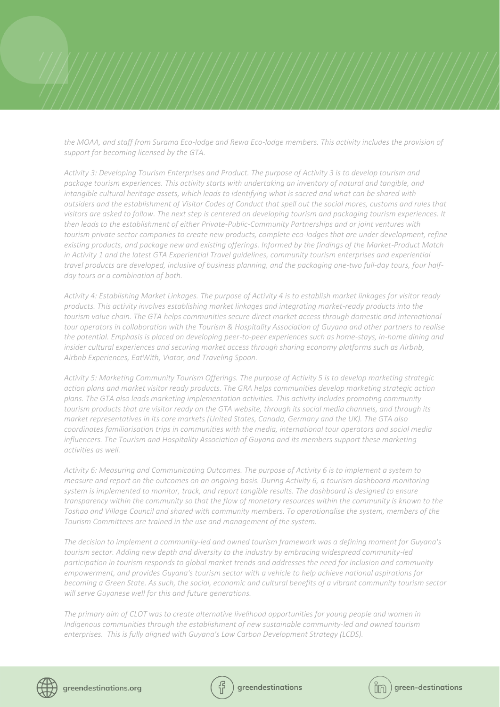*the MOAA, and staff from Surama Eco-lodge and Rewa Eco-lodge members. This activity includes the provision of support for becoming licensed by the GTA.*

*Activity 3: Developing Tourism Enterprises and Product. The purpose of Activity 3 is to develop tourism and package tourism experiences. This activity starts with undertaking an inventory of natural and tangible, and intangible cultural heritage assets, which leads to identifying what is sacred and what can be shared with outsiders and the establishment of Visitor Codes of Conduct that spell out the social mores, customs and rules that visitors are asked to follow. The next step is centered on developing tourism and packaging tourism experiences. It then leads to the establishment of either Private-Public-Community Partnerships and or joint ventures with tourism private sector companies to create new products, complete eco-lodges that are under development, refine existing products, and package new and existing offerings. Informed by the findings of the Market-Product Match in Activity 1 and the latest GTA Experiential Travel guidelines, community tourism enterprises and experiential travel products are developed, inclusive of business planning, and the packaging one-two full-day tours, four halfday tours or a combination of both.*

*Activity 4: Establishing Market Linkages. The purpose of Activity 4 is to establish market linkages for visitor ready products. This activity involves establishing market linkages and integrating market-ready products into the*  tourism value chain. The GTA helps communities secure direct market access through domestic and international *tour operators in collaboration with the Tourism & Hospitality Association of Guyana and other partners to realise the potential. Emphasis is placed on developing peer-to-peer experiences such as home-stays, in-home dining and insider cultural experiences and securing market access through sharing economy platforms such as Airbnb, Airbnb Experiences, EatWith, Viator, and Traveling Spoon.*

*Activity 5: Marketing Community Tourism Offerings. The purpose of Activity 5 is to develop marketing strategic action plans and market visitor ready products. The GRA helps communities develop marketing strategic action plans. The GTA also leads marketing implementation activities. This activity includes promoting community tourism products that are visitor ready on the GTA website, through its social media channels, and through its market representatives in its core markets (United States, Canada, Germany and the UK). The GTA also coordinates familiarisation trips in communities with the media, international tour operators and social media influencers. The Tourism and Hospitality Association of Guyana and its members support these marketing activities as well.*

*Activity 6: Measuring and Communicating Outcomes. The purpose of Activity 6 is to implement a system to measure and report on the outcomes on an ongoing basis. During Activity 6, a tourism dashboard monitoring system is implemented to monitor, track, and report tangible results. The dashboard is designed to ensure transparency within the community so that the flow of monetary resources within the community is known to the Toshao and Village Council and shared with community members. To operationalise the system, members of the Tourism Committees are trained in the use and management of the system.*

*The decision to implement a community-led and owned tourism framework was a defining moment for Guyana's tourism sector. Adding new depth and diversity to the industry by embracing widespread community-led participation in tourism responds to global market trends and addresses the need for inclusion and community empowerment, and provides Guyana's tourism sector with a vehicle to help achieve national aspirations for becoming a Green State. As such, the social, economic and cultural benefits of a vibrant community tourism sector will serve Guyanese well for this and future generations.*

*The primary aim of CLOT was to create alternative livelihood opportunities for young people and women in Indigenous communities through the establishment of new sustainable community-led and owned tourism enterprises. This is fully aligned with Guyana's Low Carbon Development Strategy (LCDS).*





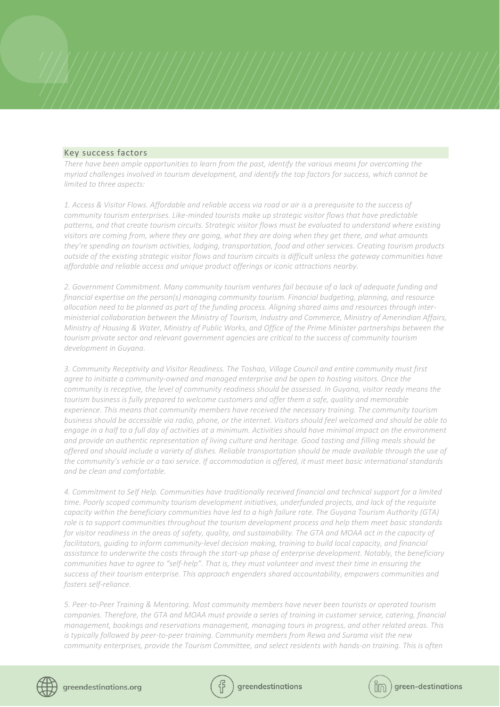#### Key success factors

*There have been ample opportunities to learn from the past, identify the various means for overcoming the myriad challenges involved in tourism development, and identify the top factors for success, which cannot be limited to three aspects:* 

*1. Access & Visitor Flows. Affordable and reliable access via road or air is a prerequisite to the success of community tourism enterprises. Like-minded tourists make up strategic visitor flows that have predictable patterns, and that create tourism circuits. Strategic visitor flows must be evaluated to understand where existing visitors are coming from, where they are going, what they are doing when they get there, and what amounts they're spending on tourism activities, lodging, transportation, food and other services. Creating tourism products outside of the existing strategic visitor flows and tourism circuits is difficult unless the gateway communities have affordable and reliable access and unique product offerings or iconic attractions nearby.* 

*2. Government Commitment. Many community tourism ventures fail because of a lack of adequate funding and financial expertise on the person(s) managing community tourism. Financial budgeting, planning, and resource allocation need to be planned as part of the funding process. Aligning shared aims and resources through interministerial collaboration between the Ministry of Tourism, Industry and Commerce, Ministry of Amerindian Affairs, Ministry of Housing & Water, Ministry of Public Works, and Office of the Prime Minister partnerships between the tourism private sector and relevant government agencies are critical to the success of community tourism development in Guyana.* 

*3. Community Receptivity and Visitor Readiness. The Toshao, Village Council and entire community must first agree to initiate a community-owned and managed enterprise and be open to hosting visitors. Once the community is receptive, the level of community readiness should be assessed. In Guyana, visitor ready means the tourism business is fully prepared to welcome customers and offer them a safe, quality and memorable experience. This means that community members have received the necessary training. The community tourism business should be accessible via radio, phone, or the internet. Visitors should feel welcomed and should be able to engage in a half to a full day of activities at a minimum. Activities should have minimal impact on the environment and provide an authentic representation of living culture and heritage. Good tasting and filling meals should be offered and should include a variety of dishes. Reliable transportation should be made available through the use of the community's vehicle or a taxi service. If accommodation is offered, it must meet basic international standards and be clean and comfortable.* 

*4. Commitment to Self Help. Communities have traditionally received financial and technical support for a limited time. Poorly scoped community tourism development initiatives, underfunded projects, and lack of the requisite capacity within the beneficiary communities have led to a high failure rate. The Guyana Tourism Authority (GTA) role is to support communities throughout the tourism development process and help them meet basic standards*  for visitor readiness in the areas of safety, quality, and sustainability. The GTA and MOAA act in the capacity of *facilitators, guiding to inform community-level decision making, training to build local capacity, and financial assistance to underwrite the costs through the start-up phase of enterprise development. Notably, the beneficiary communities have to agree to "self-help". That is, they must volunteer and invest their time in ensuring the success of their tourism enterprise. This approach engenders shared accountability, empowers communities and fosters self-reliance.* 

*5. Peer-to-Peer Training & Mentoring. Most community members have never been tourists or operated tourism companies. Therefore, the GTA and MOAA must provide a series of training in customer service, catering, financial management, bookings and reservations management, managing tours in progress, and other related areas. This is typically followed by peer-to-peer training. Community members from Rewa and Surama visit the new community enterprises, provide the Tourism Committee, and select residents with hands-on training. This is often* 



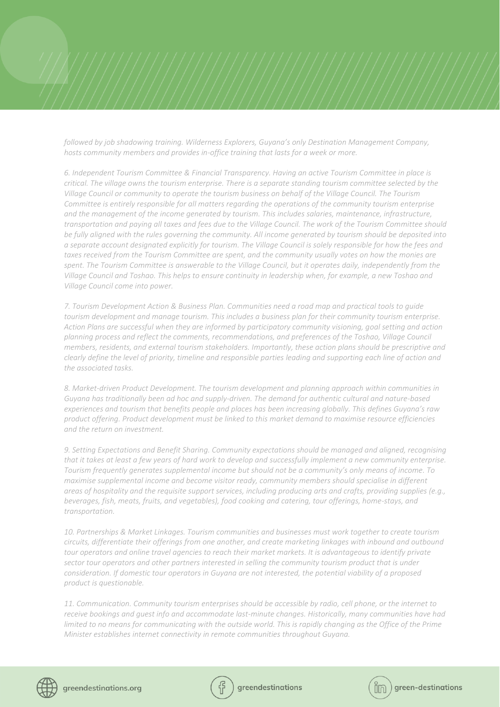*followed by job shadowing training. Wilderness Explorers, Guyana's only Destination Management Company, hosts community members and provides in-office training that lasts for a week or more.* 

*6. Independent Tourism Committee & Financial Transparency. Having an active Tourism Committee in place is critical. The village owns the tourism enterprise. There is a separate standing tourism committee selected by the Village Council or community to operate the tourism business on behalf of the Village Council. The Tourism Committee is entirely responsible for all matters regarding the operations of the community tourism enterprise and the management of the income generated by tourism. This includes salaries, maintenance, infrastructure, transportation and paying all taxes and fees due to the Village Council. The work of the Tourism Committee should be fully aligned with the rules governing the community. All income generated by tourism should be deposited into a separate account designated explicitly for tourism. The Village Council is solely responsible for how the fees and taxes received from the Tourism Committee are spent, and the community usually votes on how the monies are spent. The Tourism Committee is answerable to the Village Council, but it operates daily, independently from the Village Council and Toshao. This helps to ensure continuity in leadership when, for example, a new Toshao and Village Council come into power.* 

*7. Tourism Development Action & Business Plan. Communities need a road map and practical tools to guide tourism development and manage tourism. This includes a business plan for their community tourism enterprise. Action Plans are successful when they are informed by participatory community visioning, goal setting and action planning process and reflect the comments, recommendations, and preferences of the Toshao, Village Council members, residents, and external tourism stakeholders. Importantly, these action plans should be prescriptive and clearly define the level of priority, timeline and responsible parties leading and supporting each line of action and the associated tasks.* 

*8. Market-driven Product Development. The tourism development and planning approach within communities in Guyana has traditionally been ad hoc and supply-driven. The demand for authentic cultural and nature-based experiences and tourism that benefits people and places has been increasing globally. This defines Guyana's raw product offering. Product development must be linked to this market demand to maximise resource efficiencies and the return on investment.* 

*9. Setting Expectations and Benefit Sharing. Community expectations should be managed and aligned, recognising that it takes at least a few years of hard work to develop and successfully implement a new community enterprise. Tourism frequently generates supplemental income but should not be a community's only means of income. To maximise supplemental income and become visitor ready, community members should specialise in different areas of hospitality and the requisite support services, including producing arts and crafts, providing supplies (e.g., beverages, fish, meats, fruits, and vegetables), food cooking and catering, tour offerings, home-stays, and transportation.*

*10. Partnerships & Market Linkages. Tourism communities and businesses must work together to create tourism circuits, differentiate their offerings from one another, and create marketing linkages with inbound and outbound tour operators and online travel agencies to reach their market markets. It is advantageous to identify private sector tour operators and other partners interested in selling the community tourism product that is under consideration. If domestic tour operators in Guyana are not interested, the potential viability of a proposed product is questionable.* 

*11. Communication. Community tourism enterprises should be accessible by radio, cell phone, or the internet to receive bookings and guest info and accommodate last-minute changes. Historically, many communities have had limited to no means for communicating with the outside world. This is rapidly changing as the Office of the Prime Minister establishes internet connectivity in remote communities throughout Guyana.*





$$
\left(\rbox{$\stackrel{\circ}{\textrm{lim}}$}\right)\text{green-destination}
$$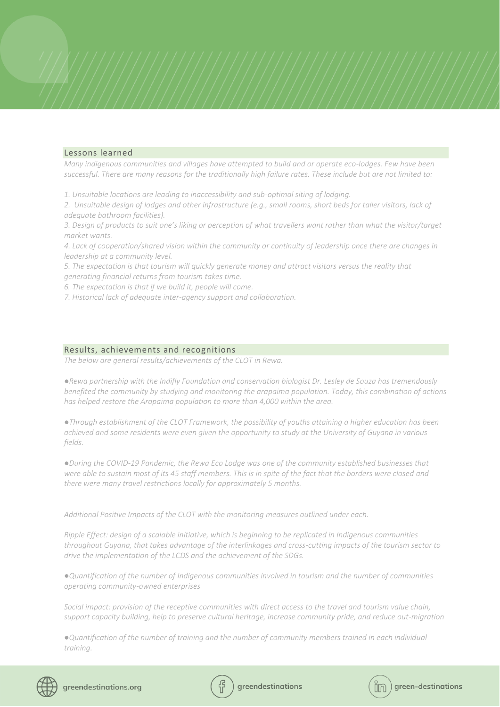#### Lessons learned

*Many indigenous communities and villages have attempted to build and or operate eco-lodges. Few have been successful. There are many reasons for the traditionally high failure rates. These include but are not limited to:*

*1. Unsuitable locations are leading to inaccessibility and sub-optimal siting of lodging.*

*2. Unsuitable design of lodges and other infrastructure (e.g., small rooms, short beds for taller visitors, lack of adequate bathroom facilities).* 

*3. Design of products to suit one's liking or perception of what travellers want rather than what the visitor/target market wants.* 

*4. Lack of cooperation/shared vision within the community or continuity of leadership once there are changes in leadership at a community level.* 

*5. The expectation is that tourism will quickly generate money and attract visitors versus the reality that generating financial returns from tourism takes time.* 

*6. The expectation is that if we build it, people will come.* 

*7. Historical lack of adequate inter-agency support and collaboration.*

#### Results, achievements and recognitions

*The below are general results/achievements of the CLOT in Rewa.*

*●Rewa partnership with the Indifly Foundation and conservation biologist Dr. Lesley de Souza has tremendously benefited the community by studying and monitoring the arapaima population. Today, this combination of actions has helped restore the Arapaima population to more than 4,000 within the area.*

*●Through establishment of the CLOT Framework, the possibility of youths attaining a higher education has been achieved and some residents were even given the opportunity to study at the University of Guyana in various fields.*

*●During the COVID-19 Pandemic, the Rewa Eco Lodge was one of the community established businesses that*  were able to sustain most of its 45 staff members. This is in spite of the fact that the borders were closed and *there were many travel restrictions locally for approximately 5 months.*

*Additional Positive Impacts of the CLOT with the monitoring measures outlined under each.* 

*Ripple Effect: design of a scalable initiative, which is beginning to be replicated in Indigenous communities throughout Guyana, that takes advantage of the interlinkages and cross-cutting impacts of the tourism sector to drive the implementation of the LCDS and the achievement of the SDGs.*

*●Quantification of the number of Indigenous communities involved in tourism and the number of communities operating community-owned enterprises* 

*Social impact: provision of the receptive communities with direct access to the travel and tourism value chain, support capacity building, help to preserve cultural heritage, increase community pride, and reduce out-migration*

*●Quantification of the number of training and the number of community members trained in each individual training.*





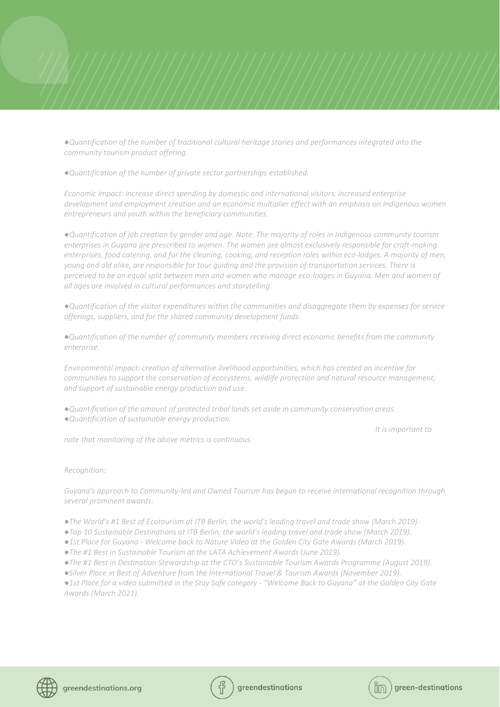*●Quantification of the number of traditional cultural heritage stories and performances integrated into the community tourism product offering.*

*●Quantification of the number of private sector partnerships established.*

*Economic impact: increase direct spending by domestic and international visitors, increased enterprise development and employment creation and an economic multiplier effect with an emphasis on Indigenous women entrepreneurs and youth within the beneficiary communities.*

*●Quantification of job creation by gender and age. Note: The majority of roles in Indigenous community tourism enterprises in Guyana are prescribed to women. The women are almost exclusively responsible for craft-making enterprises, food catering, and for the cleaning, cooking, and reception roles within eco-lodges. A majority of men, young and old alike, are responsible for tour guiding and the provision of transportation services. There is perceived to be an equal split between men and women who manage eco-lodges in Guyana. Men and women of all ages are involved in cultural performances and storytelling.*

*●Quantification of the visitor expenditures within the communities and disaggregate them by expenses for service offerings, suppliers, and for the shared community development funds.*

*●Quantification of the number of community members receiving direct economic benefits from the community enterprise.* 

*Environmental impact: creation of alternative livelihood opportunities, which has created an incentive for communities to support the conservation of ecosystems, wildlife protection and natural resource management; and support of sustainable energy production and use.*

*●Quantification of the amount of protected tribal lands set aside in community conservation areas. ●Quantification of sustainable energy production.*

 *It is important to* 

*note that monitoring of the above metrics is continuous.*

#### *Recognition:*

*Guyana's approach to Community-led and Owned Tourism has begun to receive international recognition through several prominent awards:*

*●The World's #1 Best of Ecotourism at ITB Berlin, the world's leading travel and trade show (March 2019).*

*●Top 10 Sustainable Destinations at ITB Berlin, the world's leading travel and trade show (March 2019).*

*●1st Place for Guyana - Welcome back to Nature Video at the Golden City Gate Awards (March 2019).*

*●The #1 Best in Sustainable Tourism at the LATA Achievement Awards (June 2019).*

*●The #1 Best in Destination Stewardship at the CTO's Sustainable Tourism Awards Programme (August 2019).*

*●Silver Place in Best of Adventure from the International Travel & Tourism Awards (November 2019).*

*●1st Place for a video submitted in the Stay Safe category - "Welcome Back to Guyana" at the Golden City Gate Awards (March 2021).*